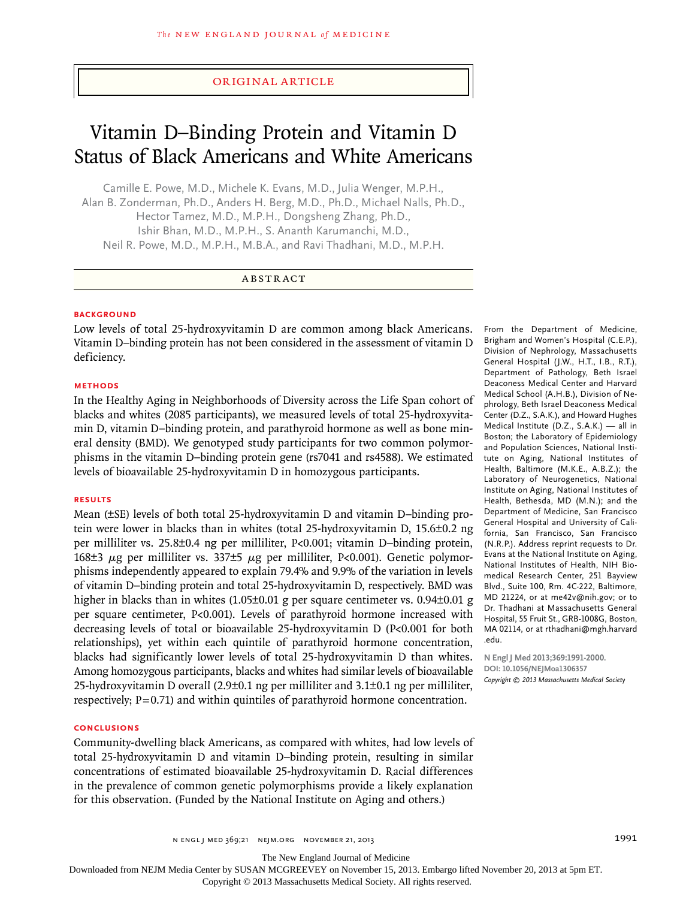## original article

# Vitamin D–Binding Protein and Vitamin D Status of Black Americans and White Americans

Camille E. Powe, M.D., Michele K. Evans, M.D., Julia Wenger, M.P.H., Alan B. Zonderman, Ph.D., Anders H. Berg, M.D., Ph.D., Michael Nalls, Ph.D., Hector Tamez, M.D., M.P.H., Dongsheng Zhang, Ph.D., Ishir Bhan, M.D., M.P.H., S. Ananth Karumanchi, M.D., Neil R. Powe, M.D., M.P.H., M.B.A., and Ravi Thadhani, M.D., M.P.H.

# ABSTRACT

#### **BACKGROUND**

Low levels of total 25-hydroxyvitamin D are common among black Americans. Vitamin D–binding protein has not been considered in the assessment of vitamin D deficiency.

#### **METHODS**

In the Healthy Aging in Neighborhoods of Diversity across the Life Span cohort of blacks and whites (2085 participants), we measured levels of total 25-hydroxyvitamin D, vitamin D–binding protein, and parathyroid hormone as well as bone mineral density (BMD). We genotyped study participants for two common polymorphisms in the vitamin D–binding protein gene (rs7041 and rs4588). We estimated levels of bioavailable 25-hydroxyvitamin D in homozygous participants.

#### **RESULTS**

Mean (±SE) levels of both total 25-hydroxyvitamin D and vitamin D–binding protein were lower in blacks than in whites (total 25-hydroxyvitamin D, 15.6±0.2 ng per milliliter vs. 25.8±0.4 ng per milliliter, P<0.001; vitamin D–binding protein, 168 $\pm$ 3  $\mu$ g per milliliter vs. 337 $\pm$ 5  $\mu$ g per milliliter, P<0.001). Genetic polymorphisms independently appeared to explain 79.4% and 9.9% of the variation in levels of vitamin D–binding protein and total 25-hydroxyvitamin D, respectively. BMD was higher in blacks than in whites (1.05±0.01 g per square centimeter vs. 0.94±0.01 g per square centimeter, P<0.001). Levels of parathyroid hormone increased with decreasing levels of total or bioavailable 25-hydroxyvitamin D (P<0.001 for both relationships), yet within each quintile of parathyroid hormone concentration, blacks had significantly lower levels of total 25-hydroxyvitamin D than whites. Among homozygous participants, blacks and whites had similar levels of bioavailable 25-hydroxyvitamin D overall (2.9±0.1 ng per milliliter and 3.1±0.1 ng per milliliter, respectively;  $P=0.71$ ) and within quintiles of parathyroid hormone concentration.

#### **CONCLUSIONS**

Community-dwelling black Americans, as compared with whites, had low levels of total 25-hydroxyvitamin D and vitamin D–binding protein, resulting in similar concentrations of estimated bioavailable 25-hydroxyvitamin D. Racial differences in the prevalence of common genetic polymorphisms provide a likely explanation for this observation. (Funded by the National Institute on Aging and others.)

From the Department of Medicine, Brigham and Women's Hospital (C.E.P.), Division of Nephrology, Massachusetts General Hospital (J.W., H.T., I.B., R.T.), Department of Pathology, Beth Israel Deaconess Medical Center and Harvard Medical School (A.H.B.), Division of Nephrology, Beth Israel Deaconess Medical Center (D.Z., S.A.K.), and Howard Hughes Medical Institute (D.Z., S.A.K.) — all in Boston; the Laboratory of Epidemiology and Population Sciences, National Institute on Aging, National Institutes of Health, Baltimore (M.K.E., A.B.Z.); the Laboratory of Neurogenetics, National Institute on Aging, National Institutes of Health, Bethesda, MD (M.N.); and the Department of Medicine, San Francisco General Hospital and University of California, San Francisco, San Francisco (N.R.P.). Address reprint requests to Dr. Evans at the National Institute on Aging, National Institutes of Health, NIH Biomedical Research Center, 251 Bayview Blvd., Suite 100, Rm. 4C-222, Baltimore, MD 21224, or at me42v@nih.gov; or to Dr. Thadhani at Massachusetts General Hospital, 55 Fruit St., GRB-1008G, Boston, MA 02114, or at rthadhani@mgh.harvard .edu.

**N Engl J Med 2013;369:1991-2000. DOI: 10.1056/NEJMoa1306357** *Copyright © 2013 Massachusetts Medical Society*

The New England Journal of Medicine

Downloaded from NEJM Media Center by SUSAN MCGREEVEY on November 15, 2013. Embargo lifted November 20, 2013 at 5pm ET.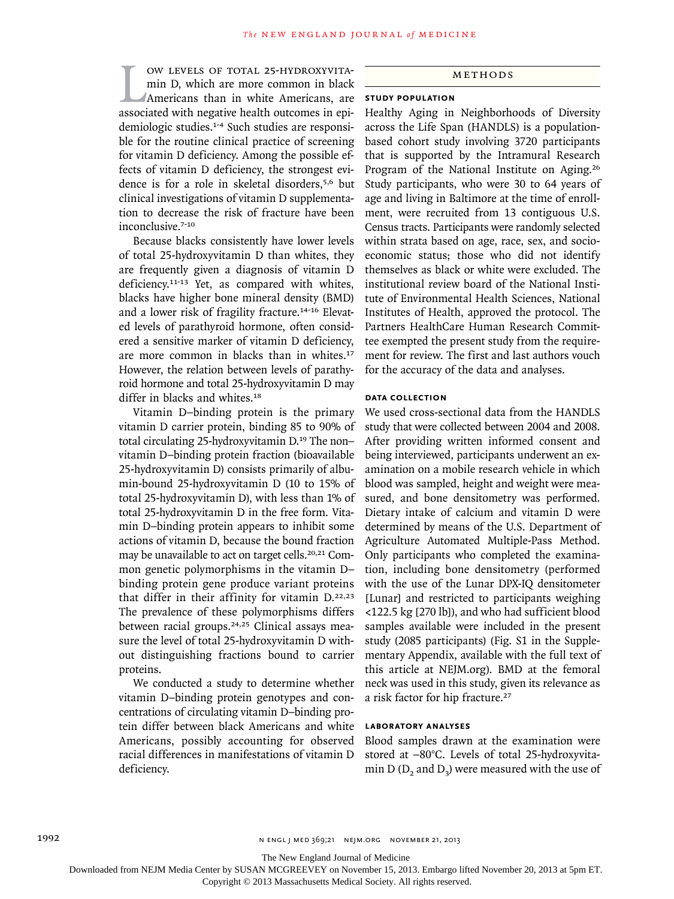W LEVELS OF TOTAL 25-HYDROXYVITA-<br>min D, which are more common in black<br>Americans than in white Americans, are<br>associated with negative health outcomes in epiow levels of total 25-hydroxyvitamin D, which are more common in black Americans than in white Americans, are demiologic studies.1-4 Such studies are responsible for the routine clinical practice of screening for vitamin D deficiency. Among the possible effects of vitamin D deficiency, the strongest evidence is for a role in skeletal disorders,5,6 but clinical investigations of vitamin D supplementation to decrease the risk of fracture have been inconclusive.7-10

Because blacks consistently have lower levels of total 25-hydroxyvitamin D than whites, they are frequently given a diagnosis of vitamin D deficiency.11-13 Yet, as compared with whites, blacks have higher bone mineral density (BMD) and a lower risk of fragility fracture.<sup>14-16</sup> Elevated levels of parathyroid hormone, often considered a sensitive marker of vitamin D deficiency, are more common in blacks than in whites.<sup>17</sup> However, the relation between levels of parathyroid hormone and total 25-hydroxyvitamin D may differ in blacks and whites.<sup>18</sup>

Vitamin D–binding protein is the primary vitamin D carrier protein, binding 85 to 90% of total circulating 25-hydroxyvitamin D.19 The non– vitamin D–binding protein fraction (bioavailable 25-hydroxyvitamin D) consists primarily of albumin-bound 25-hydroxyvitamin D (10 to 15% of total 25-hydroxyvitamin D), with less than 1% of total 25-hydroxyvitamin D in the free form. Vitamin D–binding protein appears to inhibit some actions of vitamin D, because the bound fraction may be unavailable to act on target cells.<sup>20,21</sup> Common genetic polymorphisms in the vitamin D– binding protein gene produce variant proteins that differ in their affinity for vitamin D.22,23 The prevalence of these polymorphisms differs between racial groups.24,25 Clinical assays measure the level of total 25-hydroxyvitamin D without distinguishing fractions bound to carrier proteins.

We conducted a study to determine whether vitamin D–binding protein genotypes and concentrations of circulating vitamin D–binding protein differ between black Americans and white Americans, possibly accounting for observed racial differences in manifestations of vitamin D deficiency.

## Methods

# **Study Population**

Healthy Aging in Neighborhoods of Diversity across the Life Span (HANDLS) is a populationbased cohort study involving 3720 participants that is supported by the Intramural Research Program of the National Institute on Aging.<sup>26</sup> Study participants, who were 30 to 64 years of age and living in Baltimore at the time of enrollment, were recruited from 13 contiguous U.S. Census tracts. Participants were randomly selected within strata based on age, race, sex, and socioeconomic status; those who did not identify themselves as black or white were excluded. The institutional review board of the National Institute of Environmental Health Sciences, National Institutes of Health, approved the protocol. The Partners HealthCare Human Research Committee exempted the present study from the requirement for review. The first and last authors vouch for the accuracy of the data and analyses.

#### **Data Collection**

We used cross-sectional data from the HANDLS study that were collected between 2004 and 2008. After providing written informed consent and being interviewed, participants underwent an examination on a mobile research vehicle in which blood was sampled, height and weight were measured, and bone densitometry was performed. Dietary intake of calcium and vitamin D were determined by means of the U.S. Department of Agriculture Automated Multiple-Pass Method. Only participants who completed the examination, including bone densitometry (performed with the use of the Lunar DPX-IQ densitometer [Lunar] and restricted to participants weighing <122.5 kg [270 lb]), and who had sufficient blood samples available were included in the present study (2085 participants) (Fig. S1 in the Supplementary Appendix, available with the full text of this article at NEJM.org). BMD at the femoral neck was used in this study, given its relevance as a risk factor for hip fracture.<sup>27</sup>

#### **Laboratory Analyses**

Blood samples drawn at the examination were stored at −80°C. Levels of total 25-hydroxyvitamin D  $(D_2)$  and D<sub>3</sub>) were measured with the use of

The New England Journal of Medicine

Downloaded from NEJM Media Center by SUSAN MCGREEVEY on November 15, 2013. Embargo lifted November 20, 2013 at 5pm ET.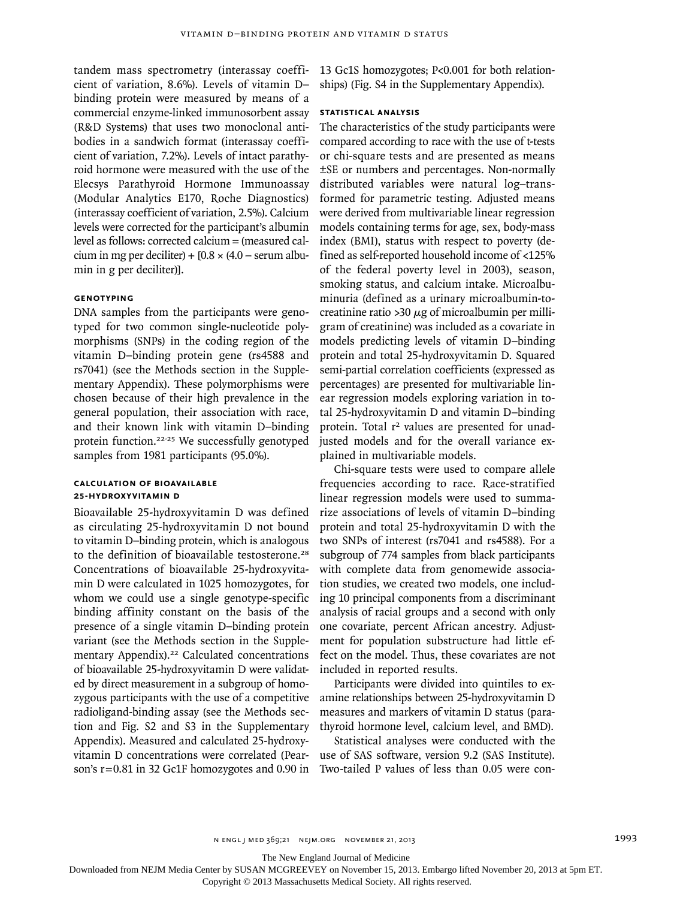tandem mass spectrometry (interassay coefficient of variation, 8.6%). Levels of vitamin D– binding protein were measured by means of a commercial enzyme-linked immunosorbent assay (R&D Systems) that uses two monoclonal antibodies in a sandwich format (interassay coefficient of variation, 7.2%). Levels of intact parathyroid hormone were measured with the use of the Elecsys Parathyroid Hormone Immunoassay (Modular Analytics E170, Roche Diagnostics) (interassay coefficient of variation, 2.5%). Calcium levels were corrected for the participant's albumin level as follows: corrected calcium = (measured calcium in mg per deciliter) +  $[0.8 \times (4.0 - \text{serum album}]$ min in g per deciliter)].

## **Genotyping**

DNA samples from the participants were genotyped for two common single-nucleotide polymorphisms (SNPs) in the coding region of the vitamin D–binding protein gene (rs4588 and rs7041) (see the Methods section in the Supplementary Appendix). These polymorphisms were chosen because of their high prevalence in the general population, their association with race, and their known link with vitamin D–binding protein function.22-25 We successfully genotyped samples from 1981 participants (95.0%).

#### **Calculation of Bioavailable 25-Hydroxyvitamin D**

Bioavailable 25-hydroxyvitamin D was defined as circulating 25-hydroxyvitamin D not bound to vitamin D–binding protein, which is analogous to the definition of bioavailable testosterone.<sup>28</sup> Concentrations of bioavailable 25-hydroxyvitamin D were calculated in 1025 homozygotes, for whom we could use a single genotype-specific binding affinity constant on the basis of the presence of a single vitamin D–binding protein variant (see the Methods section in the Supplementary Appendix).<sup>22</sup> Calculated concentrations of bioavailable 25-hydroxyvitamin D were validated by direct measurement in a subgroup of homozygous participants with the use of a competitive radioligand-binding assay (see the Methods section and Fig. S2 and S3 in the Supplementary Appendix). Measured and calculated 25-hydroxyvitamin D concentrations were correlated (Pearson's r=0.81 in 32 Gc1F homozygotes and 0.90 in 13 Gc1S homozygotes; P<0.001 for both relationships) (Fig. S4 in the Supplementary Appendix).

#### **Statistical Analysis**

The characteristics of the study participants were compared according to race with the use of t-tests or chi-square tests and are presented as means ±SE or numbers and percentages. Non-normally distributed variables were natural log–transformed for parametric testing. Adjusted means were derived from multivariable linear regression models containing terms for age, sex, body-mass index (BMI), status with respect to poverty (defined as self-reported household income of <125% of the federal poverty level in 2003), season, smoking status, and calcium intake. Microalbuminuria (defined as a urinary microalbumin-tocreatinine ratio >30  $\mu$ g of microalbumin per milligram of creatinine) was included as a covariate in models predicting levels of vitamin D–binding protein and total 25-hydroxyvitamin D. Squared semi-partial correlation coefficients (expressed as percentages) are presented for multivariable linear regression models exploring variation in total 25-hydroxyvitamin D and vitamin D–binding protein. Total r<sup>2</sup> values are presented for unadjusted models and for the overall variance explained in multivariable models.

Chi-square tests were used to compare allele frequencies according to race. Race-stratified linear regression models were used to summarize associations of levels of vitamin D–binding protein and total 25-hydroxyvitamin D with the two SNPs of interest (rs7041 and rs4588). For a subgroup of 774 samples from black participants with complete data from genomewide association studies, we created two models, one including 10 principal components from a discriminant analysis of racial groups and a second with only one covariate, percent African ancestry. Adjustment for population substructure had little effect on the model. Thus, these covariates are not included in reported results.

Participants were divided into quintiles to examine relationships between 25-hydroxyvitamin D measures and markers of vitamin D status (parathyroid hormone level, calcium level, and BMD).

Statistical analyses were conducted with the use of SAS software, version 9.2 (SAS Institute). Two-tailed P values of less than 0.05 were con-

The New England Journal of Medicine

Downloaded from NEJM Media Center by SUSAN MCGREEVEY on November 15, 2013. Embargo lifted November 20, 2013 at 5pm ET.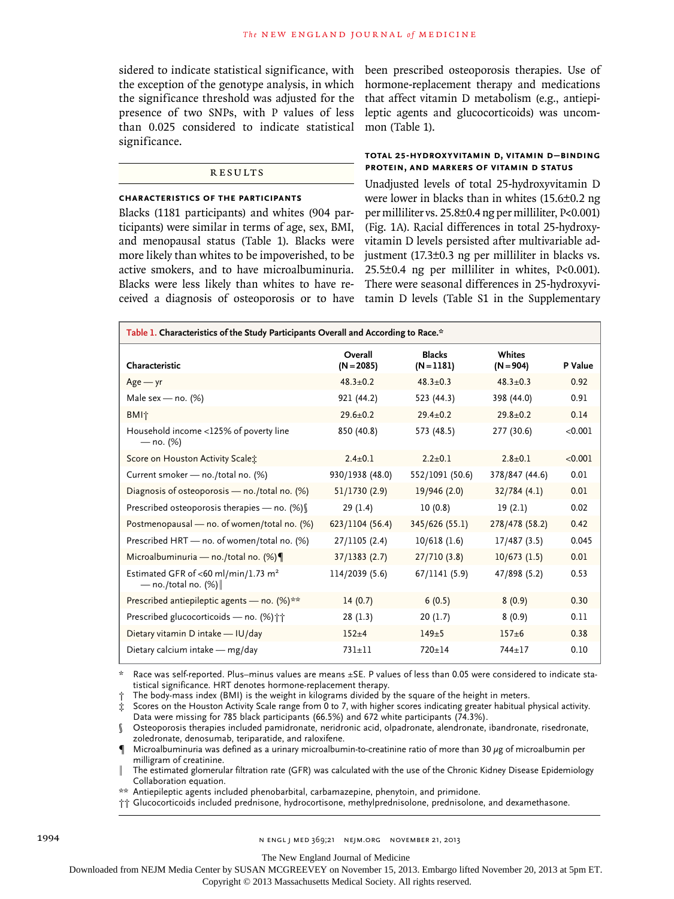sidered to indicate statistical significance, with been prescribed osteoporosis therapies. Use of presence of two SNPs, with P values of less than 0.025 considered to indicate statistical mon (Table 1). significance.

#### Results

#### **Characteristics of the Participants**

Blacks (1181 participants) and whites (904 participants) were similar in terms of age, sex, BMI, and menopausal status (Table 1). Blacks were more likely than whites to be impoverished, to be active smokers, and to have microalbuminuria. Blacks were less likely than whites to have received a diagnosis of osteoporosis or to have

the exception of the genotype analysis, in which hormone-replacement therapy and medications the significance threshold was adjusted for the that affect vitamin D metabolism (e.g., antiepileptic agents and glucocorticoids) was uncom-

## **Total 25-Hydroxyvitamin D, Vitamin D–Binding Protein, and Markers of Vitamin D Status**

Unadjusted levels of total 25-hydroxyvitamin D were lower in blacks than in whites (15.6±0.2 ng per milliliter vs. 25.8±0.4 ng per milliliter, P<0.001) (Fig. 1A). Racial differences in total 25-hydroxyvitamin D levels persisted after multivariable adjustment (17.3±0.3 ng per milliliter in blacks vs. 25.5±0.4 ng per milliliter in whites, P<0.001). There were seasonal differences in 25-hydroxyvitamin D levels (Table S1 in the Supplementary

| Table 1. Characteristics of the Study Participants Overall and According to Race.* |                         |                             |                       |         |  |  |  |  |  |
|------------------------------------------------------------------------------------|-------------------------|-----------------------------|-----------------------|---------|--|--|--|--|--|
| Characteristic                                                                     | Overall<br>$(N = 2085)$ | <b>Blacks</b><br>$(N=1181)$ | Whites<br>$(N = 904)$ | P Value |  |  |  |  |  |
| $Age - yr$                                                                         | $48.3 + 0.2$            | $48.3 + 0.3$                | $48.3 + 0.3$          | 0.92    |  |  |  |  |  |
| Male sex - no. (%)                                                                 | 921 (44.2)              | 523 (44.3)                  | 398 (44.0)            | 0.91    |  |  |  |  |  |
| <b>BMI</b> <sup>+</sup>                                                            | $29.6 \pm 0.2$          | $29.4 + 0.2$                | $29.8 \pm 0.2$        | 0.14    |  |  |  |  |  |
| Household income <125% of poverty line<br>$-$ no. $(%)$                            | 850 (40.8)              | 573 (48.5)                  | 277 (30.6)            | < 0.001 |  |  |  |  |  |
| Score on Houston Activity Scale:                                                   | $2.4 \pm 0.1$           | $2.2+0.1$                   | $2.8 \pm 0.1$         | < 0.001 |  |  |  |  |  |
| Current smoker - no./total no. (%)                                                 | 930/1938 (48.0)         | 552/1091 (50.6)             | 378/847 (44.6)        | 0.01    |  |  |  |  |  |
| Diagnosis of osteoporosis — no./total no. $(\%)$                                   | 51/1730 (2.9)           | 19/946 (2.0)                | 32/784(4.1)           | 0.01    |  |  |  |  |  |
| Prescribed osteoporosis therapies - no. (%) [                                      | 29(1.4)                 | 10(0.8)                     | 19(2.1)               | 0.02    |  |  |  |  |  |
| Postmenopausal — no. of women/total no. (%)                                        | 623/1104 (56.4)         | 345/626 (55.1)              | 278/478 (58.2)        | 0.42    |  |  |  |  |  |
| Prescribed HRT - no. of women/total no. (%)                                        | 27/1105 (2.4)           | 10/618(1.6)                 | 17/487(3.5)           | 0.045   |  |  |  |  |  |
| Microalbuminuria - no./total no. (%)                                               | 37/1383(2.7)            | 27/710(3.8)                 | 10/673(1.5)           | 0.01    |  |  |  |  |  |
| Estimated GFR of <60 ml/min/1.73 m <sup>2</sup><br>— no./total no. $(\%)$          | 114/2039 (5.6)          | 67/1141(5.9)                | 47/898 (5.2)          | 0.53    |  |  |  |  |  |
| Prescribed antiepileptic agents - no. (%)**                                        | 14(0.7)                 | 6(0.5)                      | 8(0.9)                | 0.30    |  |  |  |  |  |
| Prescribed glucocorticoids - no. (%) † †                                           | 28(1.3)                 | 20(1.7)                     | 8(0.9)                | 0.11    |  |  |  |  |  |
| Dietary vitamin D intake - IU/day                                                  | $152 + 4$               | $149+5$                     | $157 + 6$             | 0.38    |  |  |  |  |  |
| Dietary calcium intake - mg/day                                                    | $731 + 11$              | $720 + 14$                  | $744 + 17$            | 0.10    |  |  |  |  |  |

\* Race was self-reported. Plus–minus values are means ±SE. P values of less than 0.05 were considered to indicate statistical significance. HRT denotes hormone-replacement therapy.

† The body-mass index (BMI) is the weight in kilograms divided by the square of the height in meters.

§ Osteoporosis therapies included pamidronate, neridronic acid, olpadronate, alendronate, ibandronate, risedronate, zoledronate, denosumab, teriparatide, and raloxifene.

Microalbuminuria was defined as a urinary microalbumin-to-creatinine ratio of more than 30  $\mu$ g of microalbumin per milligram of creatinine.

The estimated glomerular filtration rate (GFR) was calculated with the use of the Chronic Kidney Disease Epidemiology Collaboration equation.

\*\* Antiepileptic agents included phenobarbital, carbamazepine, phenytoin, and primidone.

†† Glucocorticoids included prednisone, hydrocortisone, methylprednisolone, prednisolone, and dexamethasone.

The New England Journal of Medicine

Downloaded from NEJM Media Center by SUSAN MCGREEVEY on November 15, 2013. Embargo lifted November 20, 2013 at 5pm ET.

<sup>‡</sup> Scores on the Houston Activity Scale range from 0 to 7, with higher scores indicating greater habitual physical activity. Data were missing for 785 black participants (66.5%) and 672 white participants (74.3%).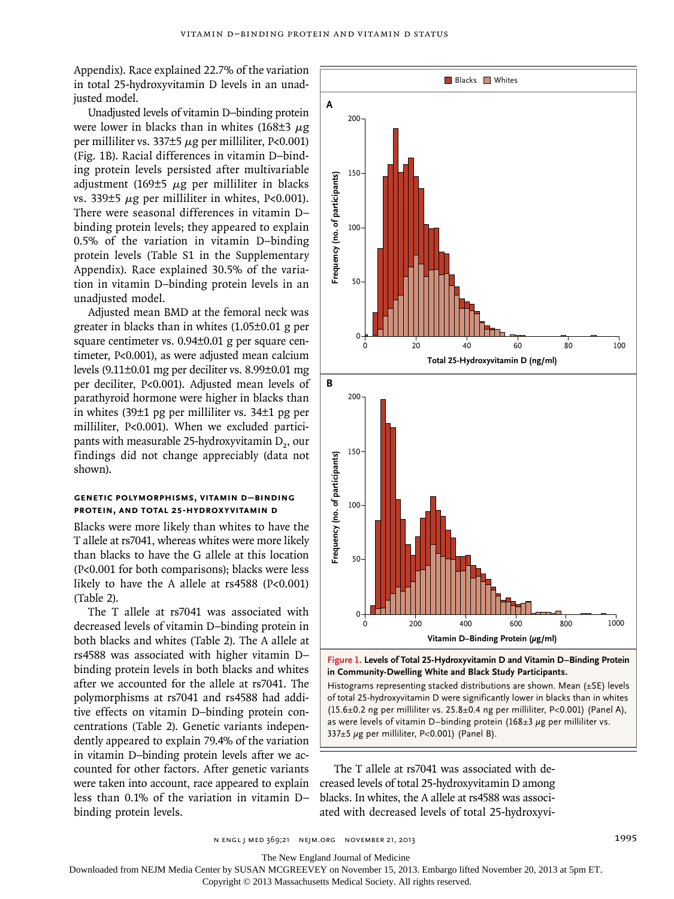Appendix). Race explained 22.7% of the variation in total 25-hydroxyvitamin D levels in an unadjusted model.

Unadjusted levels of vitamin D–binding protein were lower in blacks than in whites (168 $\pm$ 3  $\mu$ g per milliliter vs. 337 $\pm$ 5  $\mu$ g per milliliter, P<0.001) (Fig. 1B). Racial differences in vitamin D–binding protein levels persisted after multivariable adjustment (169 $\pm$ 5  $\mu$ g per milliliter in blacks vs. 339 $\pm$ 5  $\mu$ g per milliliter in whites, P<0.001). There were seasonal differences in vitamin D– binding protein levels; they appeared to explain 0.5% of the variation in vitamin D–binding protein levels (Table S1 in the Supplementary Appendix). Race explained 30.5% of the variation in vitamin D–binding protein levels in an unadjusted model.

Adjusted mean BMD at the femoral neck was greater in blacks than in whites (1.05±0.01 g per square centimeter vs. 0.94±0.01 g per square centimeter, P<0.001), as were adjusted mean calcium levels (9.11±0.01 mg per deciliter vs. 8.99±0.01 mg per deciliter, P<0.001). Adjusted mean levels of parathyroid hormone were higher in blacks than in whites (39±1 pg per milliliter vs. 34±1 pg per milliliter, P<0.001). When we excluded participants with measurable 25-hydroxyvitamin  $D_2$ , our findings did not change appreciably (data not shown).

#### **Genetic Polymorphisms, Vitamin D–Binding Protein, and Total 25-Hydroxyvitamin D**

Blacks were more likely than whites to have the T allele at rs7041, whereas whites were more likely than blacks to have the G allele at this location (P<0.001 for both comparisons); blacks were less likely to have the A allele at rs4588 (P<0.001) (Table 2).

The T allele at rs7041 was associated with decreased levels of vitamin D–binding protein in both blacks and whites (Table 2). The A allele at rs4588 was associated with higher vitamin D– binding protein levels in both blacks and whites after we accounted for the allele at rs7041. The polymorphisms at rs7041 and rs4588 had additive effects on vitamin D–binding protein concentrations (Table 2). Genetic variants independently appeared to explain 79.4% of the variation in vitamin D–binding protein levels after we accounted for other factors. After genetic variants were taken into account, race appeared to explain less than 0.1% of the variation in vitamin D– binding protein levels.



**Figure 1. Levels of Total 25-Hydroxyvitamin D and Vitamin D–Binding Protein in Community-Dwelling White and Black Study Participants.**

Histograms representing stacked distributions are shown. Mean (±SE) levels of total 25-hydroxyvitamin D were significantly lower in blacks than in whites (15.6±0.2 ng per milliliter vs. 25.8±0.4 ng per milliliter, P<0.001) (Panel A), as were levels of vitamin D–binding protein  $(168\pm3 \mu g$  per milliliter vs. 337 $\pm$ 5 µg per milliliter, P<0.001) (Panel B).

The T allele at rs7041 was associated with decreased levels of total 25-hydroxyvitamin D among blacks. In whites, the A allele at rs4588 was associ-

n engl j med 369;21 nejm.org november 21, 2013 1995

The New England Journal of Medicine

Downloaded from NEJM Media Center by SUSAN MCGREEVEY on November 15, 2013. Embargo lifted November 20, 2013 at 5pm ET.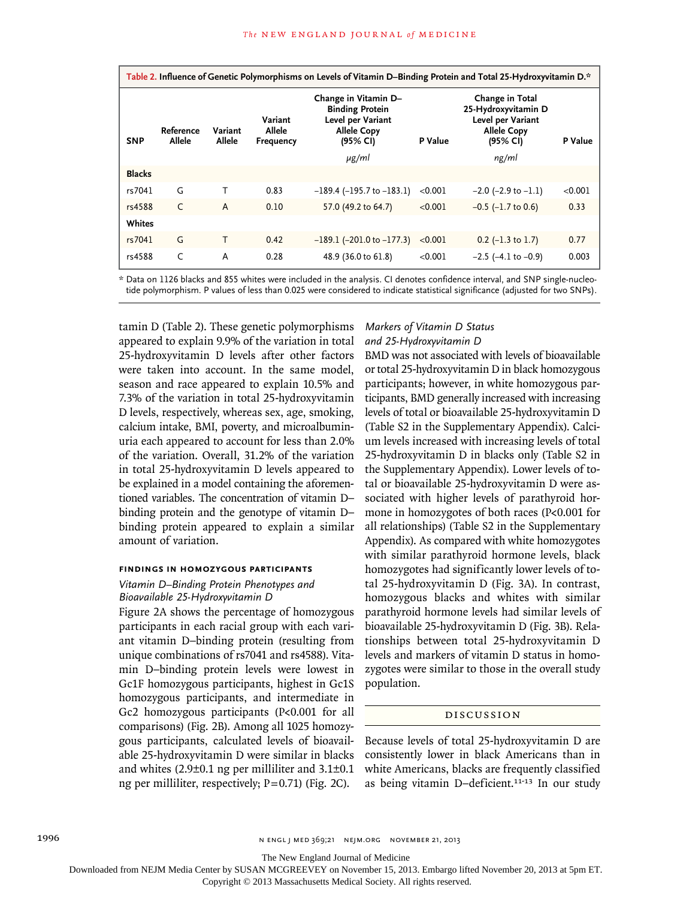| Table 2. Influence of Genetic Polymorphisms on Levels of Vitamin D-Binding Protein and Total 25-Hydroxyvitamin D.* |                     |                   |                                |                                                                                                       |         |                                                                                               |         |  |  |  |
|--------------------------------------------------------------------------------------------------------------------|---------------------|-------------------|--------------------------------|-------------------------------------------------------------------------------------------------------|---------|-----------------------------------------------------------------------------------------------|---------|--|--|--|
| <b>SNP</b>                                                                                                         | Reference<br>Allele | Variant<br>Allele | Variant<br>Allele<br>Frequency | Change in Vitamin D-<br><b>Binding Protein</b><br>Level per Variant<br><b>Allele Copy</b><br>(95% CI) | P Value | Change in Total<br>25-Hydroxyvitamin D<br>Level per Variant<br><b>Allele Copy</b><br>(95% CI) | P Value |  |  |  |
|                                                                                                                    |                     |                   |                                | μg/ml                                                                                                 |         | ng/ml                                                                                         |         |  |  |  |
| <b>Blacks</b>                                                                                                      |                     |                   |                                |                                                                                                       |         |                                                                                               |         |  |  |  |
| rs7041                                                                                                             | G                   | т                 | 0.83                           | $-189.4$ ( $-195.7$ to $-183.1$ )                                                                     | < 0.001 | $-2.0$ ( $-2.9$ to $-1.1$ )                                                                   | < 0.001 |  |  |  |
| rs4588                                                                                                             | $\mathsf{C}$        | A                 | 0.10                           | 57.0 (49.2 to 64.7)                                                                                   | < 0.001 | $-0.5$ ( $-1.7$ to 0.6)                                                                       | 0.33    |  |  |  |
| Whites                                                                                                             |                     |                   |                                |                                                                                                       |         |                                                                                               |         |  |  |  |
| rs7041                                                                                                             | G                   | т                 | 0.42                           | $-189.1$ ( $-201.0$ to $-177.3$ )                                                                     | < 0.001 | $0.2$ (-1.3 to 1.7)                                                                           | 0.77    |  |  |  |
| rs4588                                                                                                             | C                   | A                 | 0.28                           | 48.9 (36.0 to 61.8)                                                                                   | < 0.001 | $-2.5$ ( $-4.1$ to $-0.9$ )                                                                   | 0.003   |  |  |  |

\* Data on 1126 blacks and 855 whites were included in the analysis. CI denotes confidence interval, and SNP single-nucleotide polymorphism. P values of less than 0.025 were considered to indicate statistical significance (adjusted for two SNPs).

tamin D (Table 2). These genetic polymorphisms appeared to explain 9.9% of the variation in total 25-hydroxyvitamin D levels after other factors were taken into account. In the same model, season and race appeared to explain 10.5% and 7.3% of the variation in total 25-hydroxyvitamin D levels, respectively, whereas sex, age, smoking, calcium intake, BMI, poverty, and microalbuminuria each appeared to account for less than 2.0% of the variation. Overall, 31.2% of the variation in total 25-hydroxyvitamin D levels appeared to be explained in a model containing the aforementioned variables. The concentration of vitamin D– binding protein and the genotype of vitamin D– binding protein appeared to explain a similar amount of variation.

#### **Findings in Homozygous Participants**

## *Vitamin D–Binding Protein Phenotypes and Bioavailable 25-Hydroxyvitamin D*

Figure 2A shows the percentage of homozygous participants in each racial group with each variant vitamin D–binding protein (resulting from unique combinations of rs7041 and rs4588). Vitamin D–binding protein levels were lowest in Gc1F homozygous participants, highest in Gc1S homozygous participants, and intermediate in Gc2 homozygous participants (P<0.001 for all comparisons) (Fig. 2B). Among all 1025 homozygous participants, calculated levels of bioavailable 25-hydroxyvitamin D were similar in blacks and whites (2.9±0.1 ng per milliliter and 3.1±0.1 ng per milliliter, respectively; P=0.71) (Fig. 2C).

## *Markers of Vitamin D Status and 25-Hydroxyvitamin D*

BMD was not associated with levels of bioavailable or total 25-hydroxyvitamin D in black homozygous participants; however, in white homozygous participants, BMD generally increased with increasing levels of total or bioavailable 25-hydroxyvitamin D (Table S2 in the Supplementary Appendix). Calcium levels increased with increasing levels of total 25-hydroxyvitamin D in blacks only (Table S2 in the Supplementary Appendix). Lower levels of total or bioavailable 25-hydroxyvitamin D were associated with higher levels of parathyroid hormone in homozygotes of both races (P<0.001 for all relationships) (Table S2 in the Supplementary Appendix). As compared with white homozygotes with similar parathyroid hormone levels, black homozygotes had significantly lower levels of total 25-hydroxyvitamin D (Fig. 3A). In contrast, homozygous blacks and whites with similar parathyroid hormone levels had similar levels of bioavailable 25-hydroxyvitamin D (Fig. 3B). Relationships between total 25-hydroxyvitamin D levels and markers of vitamin D status in homozygotes were similar to those in the overall study population.

## Discussion

Because levels of total 25-hydroxyvitamin D are consistently lower in black Americans than in white Americans, blacks are frequently classified as being vitamin D-deficient.<sup>11-13</sup> In our study

The New England Journal of Medicine

Downloaded from NEJM Media Center by SUSAN MCGREEVEY on November 15, 2013. Embargo lifted November 20, 2013 at 5pm ET.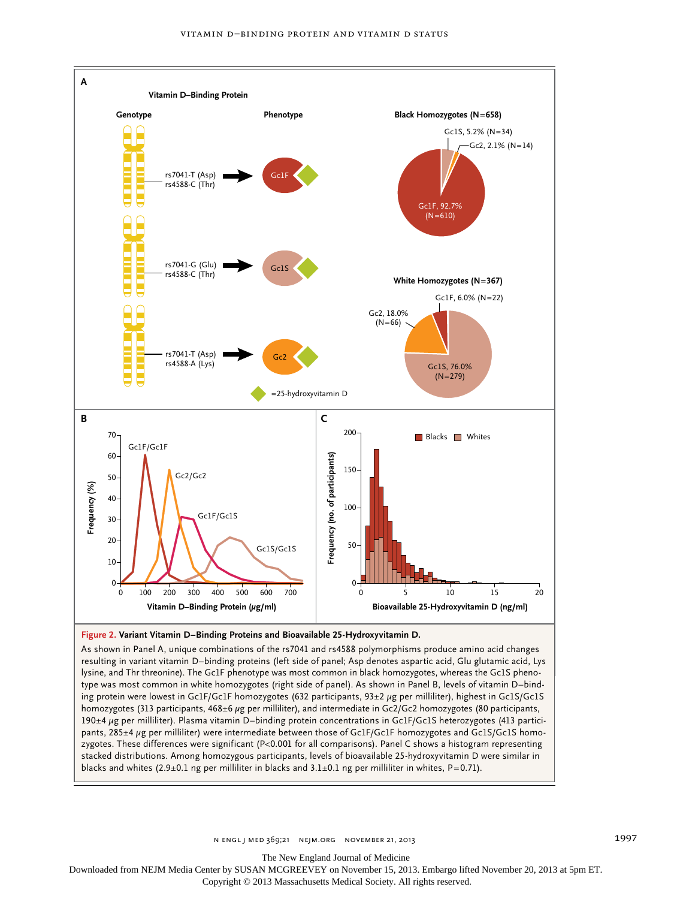

resulting in variant vitamin D–binding proteins (left side of panel; Asp denotes aspartic acid, Glu glutamic acid, Lys lysine, and Thr threonine). The Gc1F phenotype was most common in black homozygotes, whereas the Gc1S phenotype was most common in white homozygotes (right side of panel). As shown in Panel B, levels of vitamin D–binding protein were lowest in Gc1F/Gc1F homozygotes (632 participants, 93±2 μg per milliliter), highest in Gc1S/Gc1S homozygotes (313 participants, 468±6 μg per milliliter), and intermediate in Gc2/Gc2 homozygotes (80 participants, 190±4 μg per milliliter). Plasma vitamin D–binding protein concentrations in Gc1F/Gc1S heterozygotes (413 participants, 285±4 μg per milliliter) were intermediate between those of Gc1F/Gc1F homozygotes and Gc1S/Gc1S homozygotes. These differences were significant (P<0.001 for all comparisons). Panel C shows a histogram representing stacked distributions. Among homozygous participants, levels of bioavailable 25-hydroxyvitamin D were similar in blacks and whites (2.9±0.1 ng per milliliter in blacks and 3.1±0.1 ng per milliliter in whites, P=0.71).

n engl j med 369;21 nejm.org november 21, 2013 1997

The New England Journal of Medicine

Downloaded from NEJM Media Center by SUSAN MCGREEVEY on November 15, 2013. Embargo lifted November 20, 2013 at 5pm ET.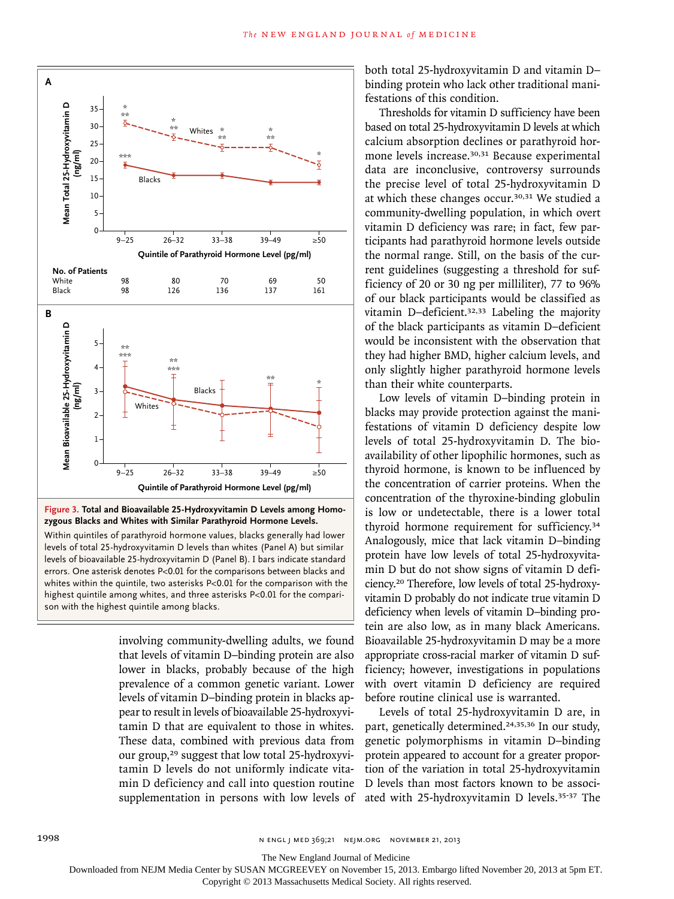

**Figure 3. Total and Bioavailable 25-Hydroxyvitamin D Levels among Homozygous Blacks and Whites with Similar Parathyroid Hormone Levels.**

Within quintiles of parathyroid hormone values, blacks generally had lower levels of total 25-hydroxyvitamin D levels than whites (Panel A) but similar levels of bioavailable 25-hydroxyvitamin D (Panel B). I bars indicate standard errors. One asterisk denotes P<0.01 for the comparisons between blacks and whites within the quintile, two asterisks P<0.01 for the comparison with the highest quintile among whites, and three asterisks P<0.01 for the comparison with the highest quintile among blacks.

> involving community-dwelling adults, we found that levels of vitamin D–binding protein are also lower in blacks, probably because of the high prevalence of a common genetic variant. Lower levels of vitamin D–binding protein in blacks appear to result in levels of bioavailable 25-hydroxyvitamin D that are equivalent to those in whites. These data, combined with previous data from our group,<sup>29</sup> suggest that low total 25-hydroxyvitamin D levels do not uniformly indicate vitamin D deficiency and call into question routine supplementation in persons with low levels of

both total 25-hydroxyvitamin D and vitamin D– binding protein who lack other traditional manifestations of this condition.

Thresholds for vitamin D sufficiency have been based on total 25-hydroxyvitamin D levels at which calcium absorption declines or parathyroid hormone levels increase.30,31 Because experimental data are inconclusive, controversy surrounds the precise level of total 25-hydroxyvitamin D at which these changes occur.30,31 We studied a community-dwelling population, in which overt vitamin D deficiency was rare; in fact, few participants had parathyroid hormone levels outside the normal range. Still, on the basis of the current guidelines (suggesting a threshold for sufficiency of 20 or 30 ng per milliliter), 77 to 96% of our black participants would be classified as vitamin D–deficient.32,33 Labeling the majority of the black participants as vitamin D–deficient would be inconsistent with the observation that they had higher BMD, higher calcium levels, and only slightly higher parathyroid hormone levels than their white counterparts.

Low levels of vitamin D–binding protein in blacks may provide protection against the manifestations of vitamin D deficiency despite low levels of total 25-hydroxyvitamin D. The bioavailability of other lipophilic hormones, such as thyroid hormone, is known to be influenced by the concentration of carrier proteins. When the concentration of the thyroxine-binding globulin is low or undetectable, there is a lower total thyroid hormone requirement for sufficiency.<sup>34</sup> Analogously, mice that lack vitamin D–binding protein have low levels of total 25-hydroxyvitamin D but do not show signs of vitamin D deficiency.20 Therefore, low levels of total 25-hydroxyvitamin D probably do not indicate true vitamin D deficiency when levels of vitamin D–binding protein are also low, as in many black Americans. Bioavailable 25-hydroxyvitamin D may be a more appropriate cross-racial marker of vitamin D sufficiency; however, investigations in populations with overt vitamin D deficiency are required before routine clinical use is warranted.

Levels of total 25-hydroxyvitamin D are, in part, genetically determined.24,35,36 In our study, genetic polymorphisms in vitamin D–binding protein appeared to account for a greater proportion of the variation in total 25-hydroxyvitamin D levels than most factors known to be associated with 25-hydroxyvitamin D levels.35-37 The

The New England Journal of Medicine

Downloaded from NEJM Media Center by SUSAN MCGREEVEY on November 15, 2013. Embargo lifted November 20, 2013 at 5pm ET.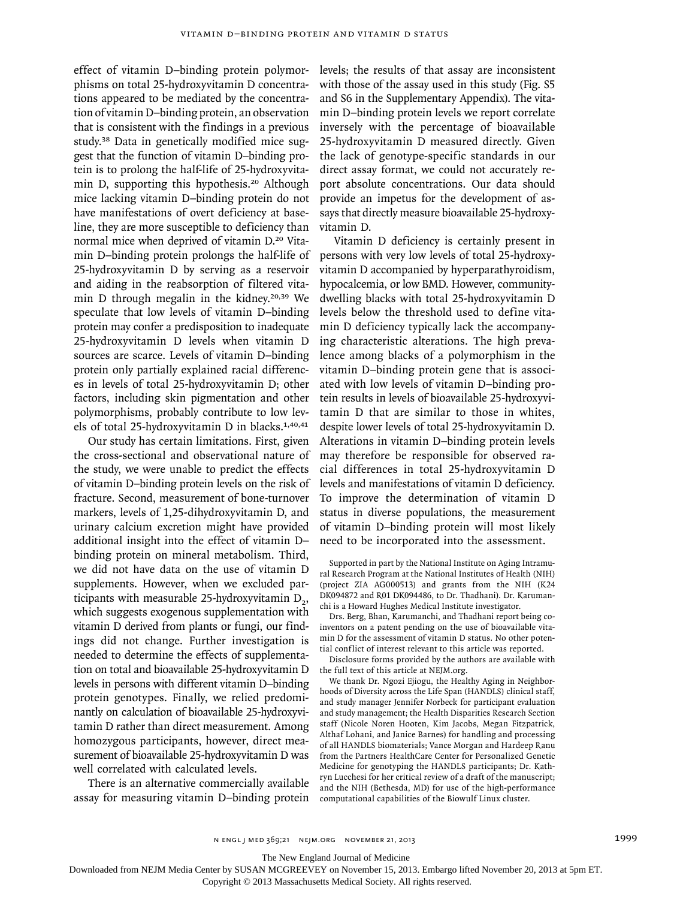effect of vitamin D–binding protein polymorphisms on total 25-hydroxyvitamin D concentrations appeared to be mediated by the concentration of vitamin D–binding protein, an observation that is consistent with the findings in a previous study.38 Data in genetically modified mice suggest that the function of vitamin D–binding protein is to prolong the half-life of 25-hydroxyvitamin D, supporting this hypothesis.20 Although mice lacking vitamin D–binding protein do not have manifestations of overt deficiency at baseline, they are more susceptible to deficiency than normal mice when deprived of vitamin D.20 Vitamin D–binding protein prolongs the half-life of 25-hydroxyvitamin D by serving as a reservoir and aiding in the reabsorption of filtered vitamin D through megalin in the kidney.<sup>20,39</sup> We speculate that low levels of vitamin D–binding protein may confer a predisposition to inadequate 25-hydroxyvitamin D levels when vitamin D sources are scarce. Levels of vitamin D–binding protein only partially explained racial differences in levels of total 25-hydroxyvitamin D; other factors, including skin pigmentation and other polymorphisms, probably contribute to low levels of total 25-hydroxyvitamin D in blacks.1,40,41

Our study has certain limitations. First, given the cross-sectional and observational nature of the study, we were unable to predict the effects of vitamin D–binding protein levels on the risk of fracture. Second, measurement of bone-turnover markers, levels of 1,25-dihydroxyvitamin D, and urinary calcium excretion might have provided additional insight into the effect of vitamin D– binding protein on mineral metabolism. Third, we did not have data on the use of vitamin D supplements. However, when we excluded participants with measurable 25-hydroxyvitamin  $D_2$ , which suggests exogenous supplementation with vitamin D derived from plants or fungi, our findings did not change. Further investigation is needed to determine the effects of supplementation on total and bioavailable 25-hydroxyvitamin D levels in persons with different vitamin D–binding protein genotypes. Finally, we relied predominantly on calculation of bioavailable 25-hydroxyvitamin D rather than direct measurement. Among homozygous participants, however, direct measurement of bioavailable 25-hydroxyvitamin D was well correlated with calculated levels.

There is an alternative commercially available assay for measuring vitamin D–binding protein levels; the results of that assay are inconsistent with those of the assay used in this study (Fig. S5 and S6 in the Supplementary Appendix). The vitamin D–binding protein levels we report correlate inversely with the percentage of bioavailable 25-hydroxyvitamin D measured directly. Given the lack of genotype-specific standards in our direct assay format, we could not accurately report absolute concentrations. Our data should provide an impetus for the development of assays that directly measure bioavailable 25-hydroxyvitamin D.

Vitamin D deficiency is certainly present in persons with very low levels of total 25-hydroxyvitamin D accompanied by hyperparathyroidism, hypocalcemia, or low BMD. However, communitydwelling blacks with total 25-hydroxyvitamin D levels below the threshold used to define vitamin D deficiency typically lack the accompanying characteristic alterations. The high prevalence among blacks of a polymorphism in the vitamin D–binding protein gene that is associated with low levels of vitamin D–binding protein results in levels of bioavailable 25-hydroxyvitamin D that are similar to those in whites, despite lower levels of total 25-hydroxyvitamin D. Alterations in vitamin D–binding protein levels may therefore be responsible for observed racial differences in total 25-hydroxyvitamin D levels and manifestations of vitamin D deficiency. To improve the determination of vitamin D status in diverse populations, the measurement of vitamin D–binding protein will most likely need to be incorporated into the assessment.

Drs. Berg, Bhan, Karumanchi, and Thadhani report being coinventors on a patent pending on the use of bioavailable vitamin D for the assessment of vitamin D status. No other potential conflict of interest relevant to this article was reported.

Disclosure forms provided by the authors are available with the full text of this article at NEJM.org.

We thank Dr. Ngozi Ejiogu, the Healthy Aging in Neighborhoods of Diversity across the Life Span (HANDLS) clinical staff, and study manager Jennifer Norbeck for participant evaluation and study management; the Health Disparities Research Section staff (Nicole Noren Hooten, Kim Jacobs, Megan Fitzpatrick, Althaf Lohani, and Janice Barnes) for handling and processing of all HANDLS biomaterials; Vance Morgan and Hardeep Ranu from the Partners HealthCare Center for Personalized Genetic Medicine for genotyping the HANDLS participants; Dr. Kathryn Lucchesi for her critical review of a draft of the manuscript; and the NIH (Bethesda, MD) for use of the high-performance computational capabilities of the Biowulf Linux cluster.

The New England Journal of Medicine

Downloaded from NEJM Media Center by SUSAN MCGREEVEY on November 15, 2013. Embargo lifted November 20, 2013 at 5pm ET.

Supported in part by the National Institute on Aging Intramural Research Program at the National Institutes of Health (NIH) (project ZIA AG000513) and grants from the NIH (K24 DK094872 and R01 DK094486, to Dr. Thadhani). Dr. Karumanchi is a Howard Hughes Medical Institute investigator.